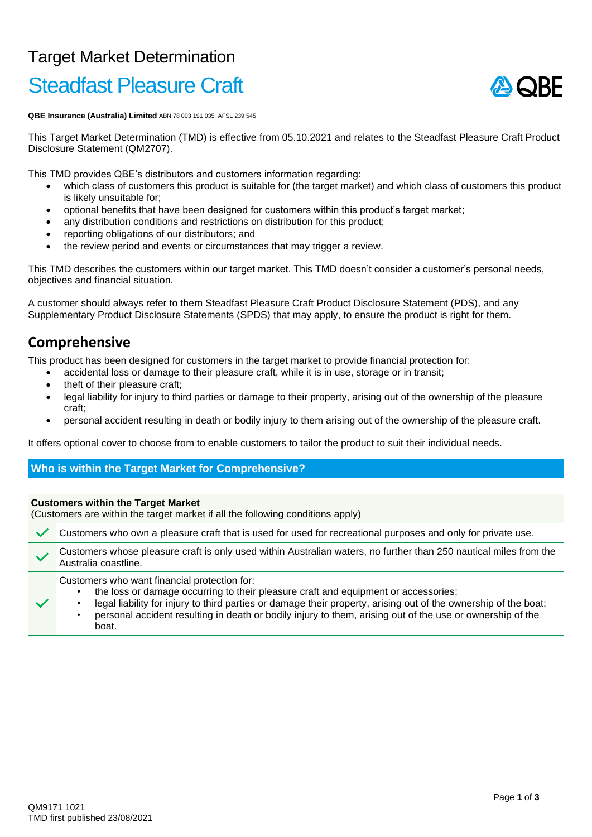## Target Market Determination Steadfast Pleasure Craft

# A ORE

**QBE Insurance (Australia) Limited** ABN 78 003 191 035 AFSL 239 545

This Target Market Determination (TMD) is effective from 05.10.2021 and relates to the Steadfast Pleasure Craft Product Disclosure Statement (QM2707).

This TMD provides QBE's distributors and customers information regarding:

- which class of customers this product is suitable for (the target market) and which class of customers this product is likely unsuitable for;
- optional benefits that have been designed for customers within this product's target market;
- any distribution conditions and restrictions on distribution for this product;
- reporting obligations of our distributors; and
- the review period and events or circumstances that may trigger a review.

This TMD describes the customers within our target market. This TMD doesn't consider a customer's personal needs, objectives and financial situation.

A customer should always refer to them Steadfast Pleasure Craft Product Disclosure Statement (PDS), and any Supplementary Product Disclosure Statements (SPDS) that may apply, to ensure the product is right for them.

### **Comprehensive**

This product has been designed for customers in the target market to provide financial protection for:

- accidental loss or damage to their pleasure craft, while it is in use, storage or in transit;
- theft of their pleasure craft;
- legal liability for injury to third parties or damage to their property, arising out of the ownership of the pleasure craft;
- personal accident resulting in death or bodily injury to them arising out of the ownership of the pleasure craft.

It offers optional cover to choose from to enable customers to tailor the product to suit their individual needs.

#### **Who is within the Target Market for Comprehensive?**

| <b>Customers within the Target Market</b><br>(Customers are within the target market if all the following conditions apply) |                                                                                                                                                                                                                                                                                                                                                                             |  |  |
|-----------------------------------------------------------------------------------------------------------------------------|-----------------------------------------------------------------------------------------------------------------------------------------------------------------------------------------------------------------------------------------------------------------------------------------------------------------------------------------------------------------------------|--|--|
|                                                                                                                             | Customers who own a pleasure craft that is used for used for recreational purposes and only for private use.                                                                                                                                                                                                                                                                |  |  |
|                                                                                                                             | Customers whose pleasure craft is only used within Australian waters, no further than 250 nautical miles from the<br>Australia coastline.                                                                                                                                                                                                                                   |  |  |
|                                                                                                                             | Customers who want financial protection for:<br>the loss or damage occurring to their pleasure craft and equipment or accessories;<br>legal liability for injury to third parties or damage their property, arising out of the ownership of the boat;<br>personal accident resulting in death or bodily injury to them, arising out of the use or ownership of the<br>boat. |  |  |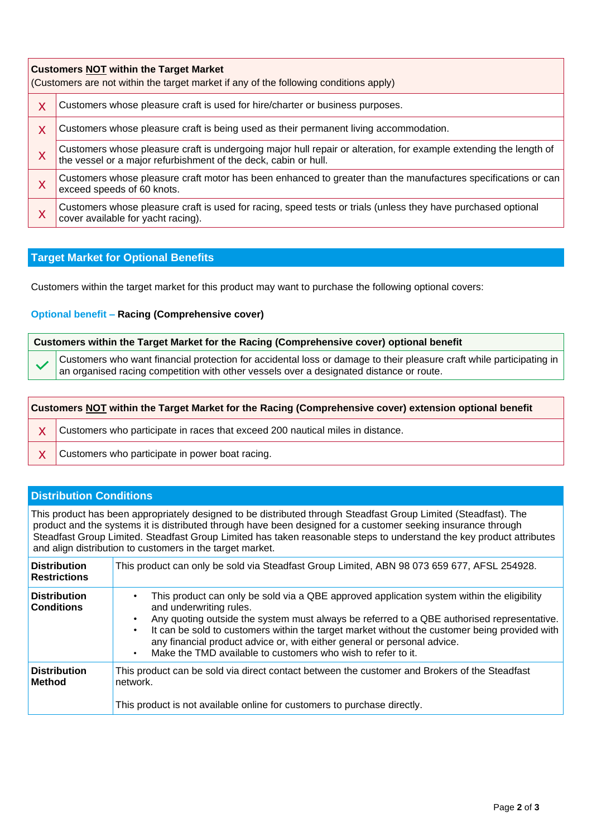| <b>Customers NOT within the Target Market</b><br>(Customers are not within the target market if any of the following conditions apply) |                                                                                                                                                                                      |  |  |
|----------------------------------------------------------------------------------------------------------------------------------------|--------------------------------------------------------------------------------------------------------------------------------------------------------------------------------------|--|--|
| X                                                                                                                                      | Customers whose pleasure craft is used for hire/charter or business purposes.                                                                                                        |  |  |
| X                                                                                                                                      | Customers whose pleasure craft is being used as their permanent living accommodation.                                                                                                |  |  |
| X                                                                                                                                      | Customers whose pleasure craft is undergoing major hull repair or alteration, for example extending the length of<br>the vessel or a major refurbishment of the deck, cabin or hull. |  |  |
| X                                                                                                                                      | Customers whose pleasure craft motor has been enhanced to greater than the manufactures specifications or can<br>exceed speeds of 60 knots.                                          |  |  |
| X                                                                                                                                      | Customers whose pleasure craft is used for racing, speed tests or trials (unless they have purchased optional<br>cover available for yacht racing).                                  |  |  |

#### **Target Market for Optional Benefits**

Customers within the target market for this product may want to purchase the following optional covers:

#### **Optional benefit – Racing (Comprehensive cover)**

| Customers within the Target Market for the Racing (Comprehensive cover) optional benefit |                                                                                                                                                                                                                      |  |  |
|------------------------------------------------------------------------------------------|----------------------------------------------------------------------------------------------------------------------------------------------------------------------------------------------------------------------|--|--|
|                                                                                          | Customers who want financial protection for accidental loss or damage to their pleasure craft while participating in $\vert$ an organised racing competition with other vessels over a designated distance or route. |  |  |
|                                                                                          |                                                                                                                                                                                                                      |  |  |

| Customers NOT within the Target Market for the Racing (Comprehensive cover) extension optional benefit |  |                                                                                |  |
|--------------------------------------------------------------------------------------------------------|--|--------------------------------------------------------------------------------|--|
|                                                                                                        |  | Customers who participate in races that exceed 200 nautical miles in distance. |  |
|                                                                                                        |  | Customers who participate in power boat racing.                                |  |

#### **Distribution Conditions**

This product has been appropriately designed to be distributed through Steadfast Group Limited (Steadfast). The product and the systems it is distributed through have been designed for a customer seeking insurance through Steadfast Group Limited. Steadfast Group Limited has taken reasonable steps to understand the key product attributes and align distribution to customers in the target market.

| <b>Distribution</b><br><b>Restrictions</b> | This product can only be sold via Steadfast Group Limited, ABN 98 073 659 677, AFSL 254928.                                                                                                                                                                                                                                                                                                                                                                      |
|--------------------------------------------|------------------------------------------------------------------------------------------------------------------------------------------------------------------------------------------------------------------------------------------------------------------------------------------------------------------------------------------------------------------------------------------------------------------------------------------------------------------|
| <b>Distribution</b><br><b>Conditions</b>   | This product can only be sold via a QBE approved application system within the eligibility<br>and underwriting rules.<br>Any quoting outside the system must always be referred to a QBE authorised representative.<br>It can be sold to customers within the target market without the customer being provided with<br>any financial product advice or, with either general or personal advice.<br>Make the TMD available to customers who wish to refer to it. |
| <b>Distribution</b><br>Method              | This product can be sold via direct contact between the customer and Brokers of the Steadfast<br>network.<br>This product is not available online for customers to purchase directly.                                                                                                                                                                                                                                                                            |